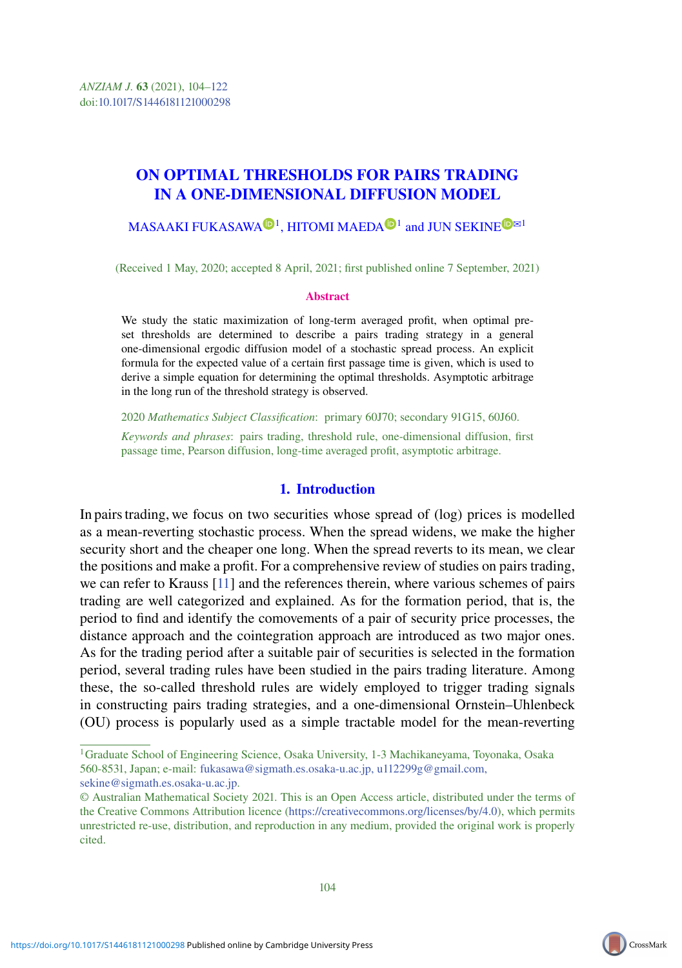# ON OPTIMAL THRESHOLDS FOR PAIRS TRADING IN A ONE-DIMENSIONAL DIFFUSION MODEL

## $\mathsf{MASAAKI}$  $\mathsf{MASAAKI}$  $\mathsf{MASAAKI}$  FUKASAWA $\mathsf{D}^1,$  $\mathsf{D}^1,$  $\mathsf{D}^1,$  HITOMI MAEDA $\mathsf{D}^1$  and JUN SEKINE  $\mathsf{D}^{\boxtimes 1}$

(Received 1 May, 2020; accepted 8 April, 2021; first published online 7 September, 2021)

#### Abstract

We study the static maximization of long-term averaged profit, when optimal preset thresholds are determined to describe a pairs trading strategy in a general one-dimensional ergodic diffusion model of a stochastic spread process. An explicit formula for the expected value of a certain first passage time is given, which is used to derive a simple equation for determining the optimal thresholds. Asymptotic arbitrage in the long run of the threshold strategy is observed.

2020 *Mathematics Subject Classification*: primary 60J70; secondary 91G15, 60J60.

*Keywords and phrases*: pairs trading, threshold rule, one-dimensional diffusion, first passage time, Pearson diffusion, long-time averaged profit, asymptotic arbitrage.

### 1. Introduction

In pairs trading, we focus on two securities whose spread of (log) prices is modelled as a mean-reverting stochastic process. When the spread widens, we make the higher security short and the cheaper one long. When the spread reverts to its mean, we clear the positions and make a profit. For a comprehensive review of studies on pairs trading, we can refer to Krauss [\[11\]](#page-18-0) and the references therein, where various schemes of pairs trading are well categorized and explained. As for the formation period, that is, the period to find and identify the comovements of a pair of security price processes, the distance approach and the cointegration approach are introduced as two major ones. As for the trading period after a suitable pair of securities is selected in the formation period, several trading rules have been studied in the pairs trading literature. Among these, the so-called threshold rules are widely employed to trigger trading signals in constructing pairs trading strategies, and a one-dimensional Ornstein–Uhlenbeck (OU) process is popularly used as a simple tractable model for the mean-reverting



<sup>&</sup>lt;sup>1</sup>Graduate School of Engineering Science, Osaka University, 1-3 Machikaneyama, Toyonaka, Osaka 560-8531, Japan; e-mail: [fukasawa@sigmath.es.osaka-u.ac.jp, u112299g@gmail.com,](mailto:fukasawa@sigmath.es.osaka-u.ac.jp, u112299g@gmail.com, sekine@sigmath.es.osaka-u.ac.jp) sekine@sigmath.es.osaka-u.ac.jp.

<sup>©</sup> Australian Mathematical Society 2021. This is an Open Access article, distributed under the terms of the Creative Commons Attribution licence [\(https://creativecommons.org/licenses/by/4.0\)](https://creativecommons.org/licenses/by/4.0), which permits unrestricted re-use, distribution, and reproduction in any medium, provided the original work is properly cited.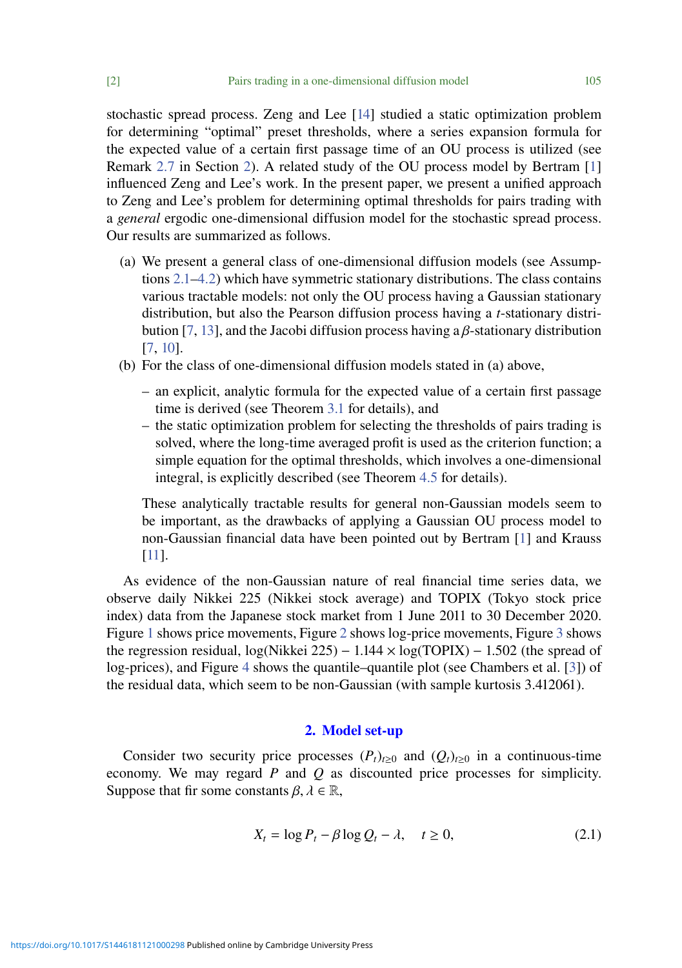stochastic spread process. Zeng and Lee [\[14\]](#page-18-1) studied a static optimization problem for determining "optimal" preset thresholds, where a series expansion formula for the expected value of a certain first passage time of an OU process is utilized (see Remark [2.7](#page-6-0) in Section [2\)](#page-1-0). A related study of the OU process model by Bertram [\[1\]](#page-17-0) influenced Zeng and Lee's work. In the present paper, we present a unified approach to Zeng and Lee's problem for determining optimal thresholds for pairs trading with a *general* ergodic one-dimensional diffusion model for the stochastic spread process. Our results are summarized as follows.

- (a) We present a general class of one-dimensional diffusion models (see Assumptions  $2.1-4.2$ ) which have symmetric stationary distributions. The class contains various tractable models: not only the OU process having a Gaussian stationary distribution, but also the Pearson diffusion process having a *t*-stationary distri-bution [\[7,](#page-18-2) [13\]](#page-18-3), and the Jacobi diffusion process having a  $\beta$ -stationary distribution [\[7,](#page-18-2) [10\]](#page-18-4).
- (b) For the class of one-dimensional diffusion models stated in (a) above,
	- an explicit, analytic formula for the expected value of a certain first passage time is derived (see Theorem [3.1](#page-6-1) for details), and
	- the static optimization problem for selecting the thresholds of pairs trading is solved, where the long-time averaged profit is used as the criterion function; a simple equation for the optimal thresholds, which involves a one-dimensional integral, is explicitly described (see Theorem [4.5](#page-10-0) for details).

These analytically tractable results for general non-Gaussian models seem to be important, as the drawbacks of applying a Gaussian OU process model to non-Gaussian financial data have been pointed out by Bertram [\[1\]](#page-17-0) and Krauss [\[11\]](#page-18-0).

As evidence of the non-Gaussian nature of real financial time series data, we observe daily Nikkei 225 (Nikkei stock average) and TOPIX (Tokyo stock price index) data from the Japanese stock market from 1 June 2011 to 30 December 2020. Figure [1](#page-2-0) shows price movements, Figure [2](#page-3-1) shows log-price movements, Figure [3](#page-4-0) shows the regression residual,  $log(Nikkei 225) - 1.144 \times log(TOPIX) - 1.502$  (the spread of log-prices), and Figure [4](#page-5-0) shows the quantile–quantile plot (see Chambers et al. [\[3\]](#page-17-1)) of the residual data, which seem to be non-Gaussian (with sample kurtosis 3.412061).

## <span id="page-1-1"></span>2. Model set-up

<span id="page-1-0"></span>Consider two security price processes  $(P_t)_{t>0}$  and  $(Q_t)_{t>0}$  in a continuous-time economy. We may regard *P* and *Q* as discounted price processes for simplicity. Suppose that fir some constants  $\beta, \lambda \in \mathbb{R}$ ,

$$
X_t = \log P_t - \beta \log Q_t - \lambda, \quad t \ge 0,
$$
\n(2.1)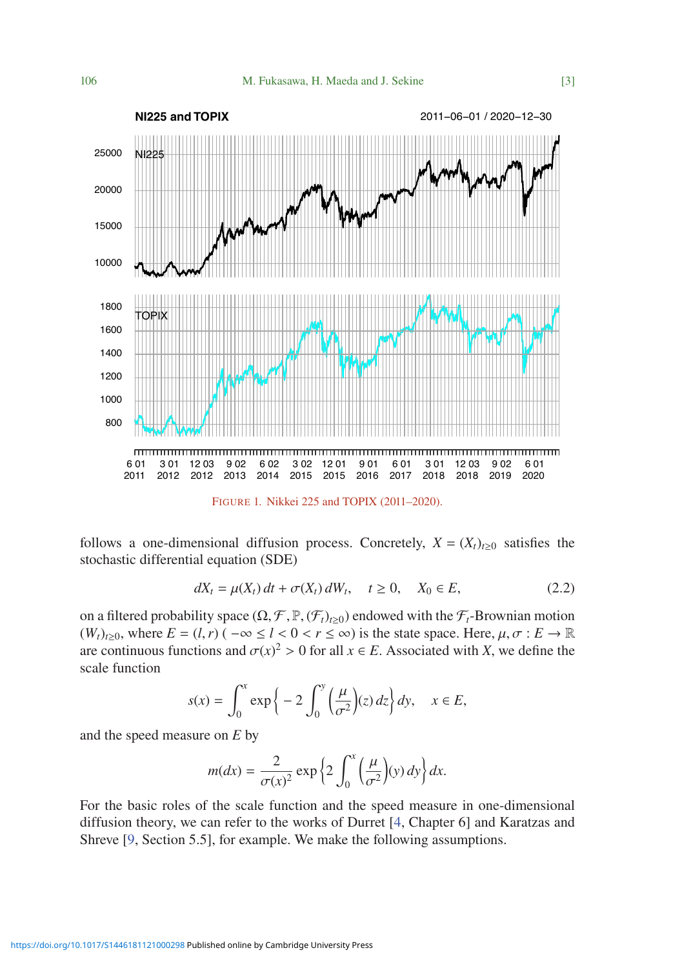<span id="page-2-0"></span>

follows a one-dimensional diffusion process. Concretely,  $X = (X_t)_{t \ge 0}$  satisfies the stochastic differential equation (SDE)

<span id="page-2-1"></span>
$$
dX_t = \mu(X_t) \, dt + \sigma(X_t) \, dW_t, \quad t \ge 0, \quad X_0 \in E,\tag{2.2}
$$

on a filtered probability space  $(\Omega, \mathcal{F}, \mathbb{P}, (\mathcal{F}_t)_{t\geq 0})$  endowed with the  $\mathcal{F}_t$ -Brownian motion  $(W_t)_{t>0}$ , where  $E = (l, r)$  ( $-\infty \le l < 0 < r \le \infty$ ) is the state space. Here,  $\mu, \sigma : E \to \mathbb{R}$ are continuous functions and  $\sigma(x)^2 > 0$  for all  $x \in E$ . Associated with *X*, we define the scale function

$$
s(x) = \int_0^x \exp\left\{-2\int_0^y \left(\frac{\mu}{\sigma^2}\right)(z) dz\right\} dy, \quad x \in E,
$$

and the speed measure on *E* by

$$
m(dx) = \frac{2}{\sigma(x)^2} \exp\left\{2 \int_0^x \left(\frac{\mu}{\sigma^2}\right)(y) \, dy\right\} dx.
$$

For the basic roles of the scale function and the speed measure in one-dimensional diffusion theory, we can refer to the works of Durret [\[4,](#page-18-5) Chapter 6] and Karatzas and Shreve [\[9,](#page-18-6) Section 5.5], for example. We make the following assumptions.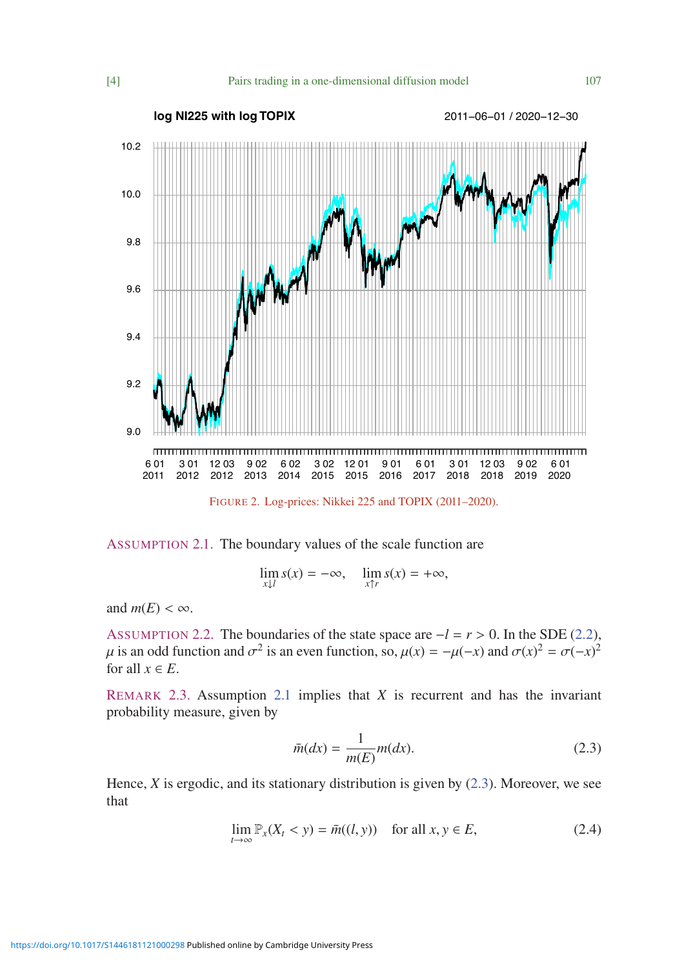<span id="page-3-1"></span>

<span id="page-3-0"></span>

$$
\lim_{x \downarrow l} s(x) = -\infty, \quad \lim_{x \uparrow r} s(x) = +\infty,
$$

and  $m(E) < \infty$ .

<span id="page-3-3"></span>ASSUMPTION 2.2. The boundaries of the state space are <sup>−</sup>*<sup>l</sup>* <sup>=</sup> *<sup>r</sup>* > 0. In the SDE [\(2.2\)](#page-2-1), μ is an odd function and  $σ^2$  is an even function, so,  $μ(x) = -μ(-x)$  and  $σ(x)^2 = σ(-x)^2$ <br>for all  $x ∈ F$ for all  $x \in E$ .

<span id="page-3-4"></span>REMARK 2.3. Assumption [2.1](#page-3-0) implies that *X* is recurrent and has the invariant probability measure, given by

<span id="page-3-2"></span>
$$
\bar{m}(dx) = \frac{1}{m(E)}m(dx). \tag{2.3}
$$

<span id="page-3-5"></span>Hence, *X* is ergodic, and its stationary distribution is given by [\(2.3\)](#page-3-2). Moreover, we see that

$$
\lim_{t \to \infty} \mathbb{P}_x(X_t < y) = \bar{m}((l, y)) \quad \text{for all } x, y \in E,\tag{2.4}
$$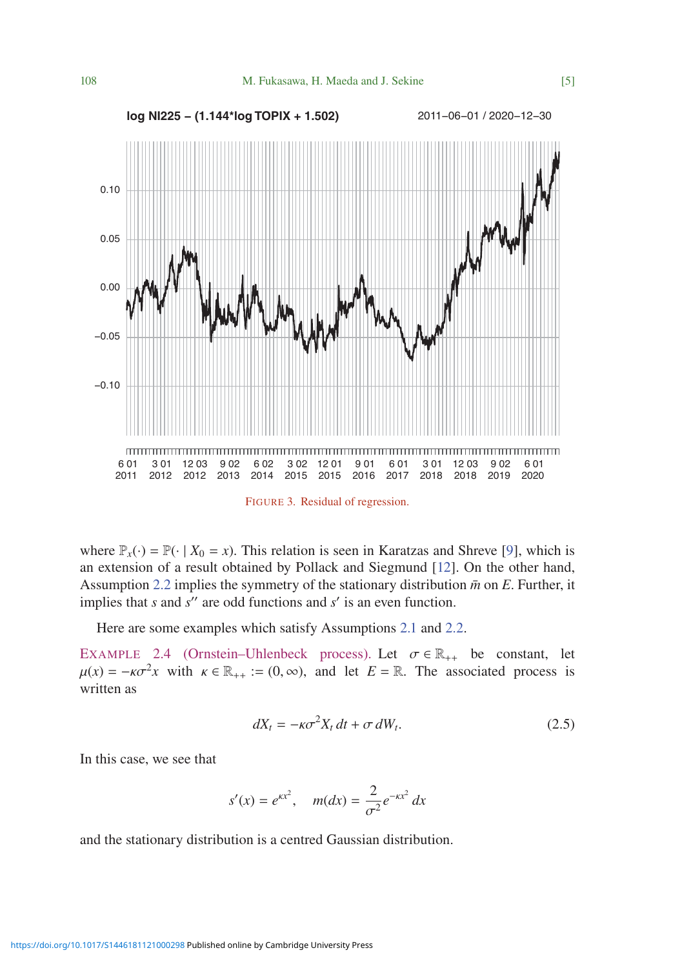<span id="page-4-0"></span>

where  $\mathbb{P}_x(\cdot) = \mathbb{P}(\cdot | X_0 = x)$ . This relation is seen in Karatzas and Shreve [\[9\]](#page-18-6), which is an extension of a result obtained by Pollack and Siegmund [\[12\]](#page-18-7). On the other hand, Assumption [2.2](#page-3-3) implies the symmetry of the stationary distribution  $\bar{m}$  on *E*. Further, it implies that  $s$  and  $s$ <sup>"</sup> are odd functions and  $s'$  is an even function.

Here are some examples which satisfy Assumptions [2.1](#page-3-0) and [2.2.](#page-3-3)

<span id="page-4-2"></span><span id="page-4-1"></span>EXAMPLE 2.4 (Ornstein–Uhlenbeck process). Let  $\sigma \in \mathbb{R}_{++}$  be constant, let  $\mu(x) = -\kappa \sigma^2 x$  with  $\kappa \in \mathbb{R}_{++} := (0, \infty)$ , and let  $E = \mathbb{R}$ . The associated process is written as

$$
dX_t = -\kappa \sigma^2 X_t dt + \sigma dW_t. \tag{2.5}
$$

In this case, we see that

$$
s'(x) = e^{\kappa x^2}
$$
,  $m(dx) = \frac{2}{\sigma^2} e^{-\kappa x^2} dx$ 

and the stationary distribution is a centred Gaussian distribution.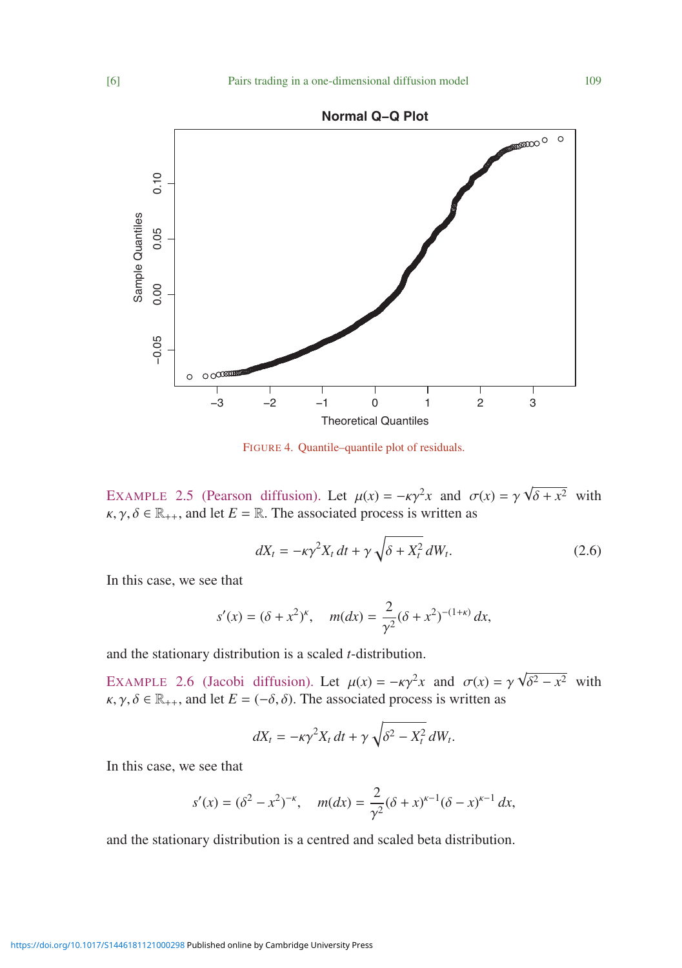

<span id="page-5-0"></span>

FIGURE 4. Quantile–quantile plot of residuals.

<span id="page-5-2"></span>EXAMPLE 2.5 (Pearson diffusion). Let  $\mu(x) = -\kappa \gamma^2 x$  and  $\sigma(x) = \gamma$ <br> $\kappa \gamma \delta \in \mathbb{R}$  and let  $F - \mathbb{R}$ . The associated process is written as √  $\delta + x^2$  with  $\kappa, \gamma, \delta \in \mathbb{R}_{++}$ , and let  $E = \mathbb{R}$ . The associated process is written as

<span id="page-5-3"></span>
$$
dX_t = -\kappa \gamma^2 X_t dt + \gamma \sqrt{\delta + X_t^2} dW_t.
$$
 (2.6)

In this case, we see that

$$
s'(x) = (\delta + x^2)^k
$$
,  $m(dx) = \frac{2}{\gamma^2} (\delta + x^2)^{-(1+\kappa)} dx$ ,

and the stationary distribution is a scaled *t*-distribution.

<span id="page-5-1"></span>EXAMPLE 2.6 (Jacobi diffusion). Let  $\mu(x) = -\kappa y^2 x$  and  $\sigma(x) = \gamma$ <br> $\kappa \propto \delta \in \mathbb{R}$  and let  $F - (-\delta \delta)$ . The associated process is written as √  $\delta^2 - x^2$  with  $\kappa, \gamma, \delta \in \mathbb{R}_{++}$ , and let  $E = (-\delta, \delta)$ . The associated process is written as

$$
dX_t = -\kappa \gamma^2 X_t dt + \gamma \sqrt{\delta^2 - X_t^2} dW_t.
$$

In this case, we see that

$$
s'(x) = (\delta^2 - x^2)^{-\kappa}
$$
,  $m(dx) = \frac{2}{\gamma^2} (\delta + x)^{\kappa - 1} (\delta - x)^{\kappa - 1} dx$ ,

and the stationary distribution is a centred and scaled beta distribution.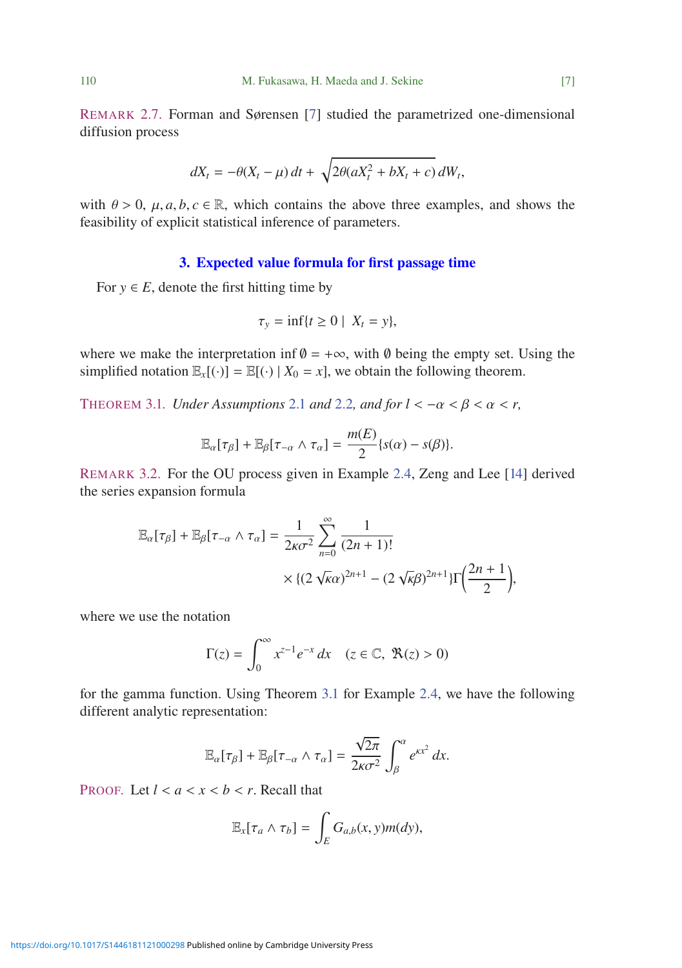<span id="page-6-0"></span>REMARK 2.7. Forman and Sørensen [\[7\]](#page-18-2) studied the parametrized one-dimensional diffusion process

$$
dX_t = -\theta(X_t - \mu) dt + \sqrt{2\theta(aX_t^2 + bX_t + c)} dW_t,
$$

with  $\theta > 0$ ,  $\mu$ ,  $a, b, c \in \mathbb{R}$ , which contains the above three examples, and shows the feasibility of explicit statistical inference of parameters.

## 3. Expected value formula for first passage time

For  $y \in E$ , denote the first hitting time by

$$
\tau_{y} = \inf\{t \ge 0 \mid X_t = y\},\
$$

where we make the interpretation inf  $\theta = +\infty$ , with  $\theta$  being the empty set. Using the simplified notation  $\mathbb{E}_x[(\cdot)] = \mathbb{E}[(\cdot) | X_0 = x]$ , we obtain the following theorem.

<span id="page-6-1"></span>THEOREM 3.1. *Under Assumptions* [2.1](#page-3-0) *and* [2.2](#page-3-3)*, and for*  $l < -\alpha < \beta < \alpha < r$ ,

$$
\mathbb{E}_{\alpha}[\tau_{\beta}] + \mathbb{E}_{\beta}[\tau_{-\alpha} \wedge \tau_{\alpha}] = \frac{m(E)}{2} \{s(\alpha) - s(\beta)\}.
$$

REMARK 3.2. For the OU process given in Example [2.4,](#page-4-1) Zeng and Lee [\[14\]](#page-18-1) derived the series expansion formula

$$
\mathbb{E}_{\alpha}[\tau_{\beta}] + \mathbb{E}_{\beta}[\tau_{-\alpha} \wedge \tau_{\alpha}] = \frac{1}{2\kappa\sigma^2} \sum_{n=0}^{\infty} \frac{1}{(2n+1)!}
$$

$$
\times \{ (2\sqrt{\kappa}\alpha)^{2n+1} - (2\sqrt{\kappa}\beta)^{2n+1} \} \Gamma\left(\frac{2n+1}{2}\right),
$$

where we use the notation

$$
\Gamma(z) = \int_0^\infty x^{z-1} e^{-x} dx \quad (z \in \mathbb{C}, \ \Re(z) > 0)
$$

for the gamma function. Using Theorem [3.1](#page-6-1) for Example [2.4,](#page-4-1) we have the following different analytic representation:

$$
\mathbb{E}_{\alpha}[\tau_{\beta}] + \mathbb{E}_{\beta}[\tau_{-\alpha} \wedge \tau_{\alpha}] = \frac{\sqrt{2\pi}}{2\kappa\sigma^2} \int_{\beta}^{\alpha} e^{\kappa x^2} dx.
$$

PROOF. Let  $l < a < x < b < r$ . Recall that

$$
\mathbb{E}_x[\tau_a \wedge \tau_b] = \int_E G_{a,b}(x, y) m(dy),
$$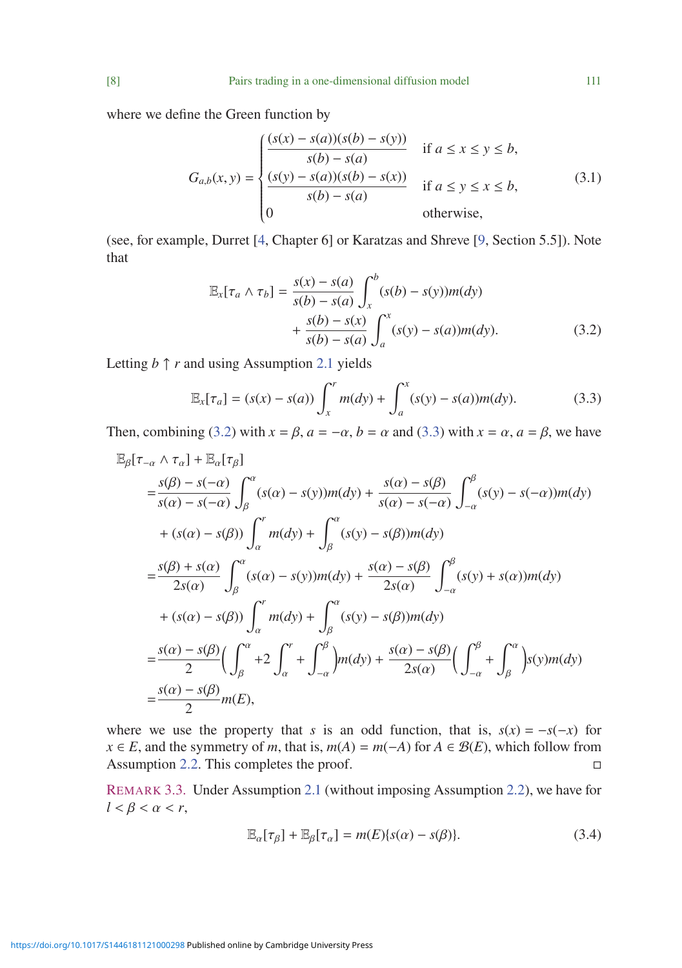where we define the Green function by

<span id="page-7-3"></span>
$$
G_{a,b}(x,y) = \begin{cases} \frac{(s(x) - s(a))(s(b) - s(y))}{s(b) - s(a)} & \text{if } a \le x \le y \le b, \\ \frac{(s(y) - s(a))(s(b) - s(x))}{s(b) - s(a)} & \text{if } a \le y \le x \le b, \\ 0 & \text{otherwise,} \end{cases} \tag{3.1}
$$

<span id="page-7-0"></span>(see, for example, Durret [\[4,](#page-18-5) Chapter 6] or Karatzas and Shreve [\[9,](#page-18-6) Section 5.5]). Note that

$$
\mathbb{E}_{x}[\tau_{a} \wedge \tau_{b}] = \frac{s(x) - s(a)}{s(b) - s(a)} \int_{x}^{b} (s(b) - s(y))m(dy) + \frac{s(b) - s(x)}{s(b) - s(a)} \int_{a}^{x} (s(y) - s(a))m(dy).
$$
\n(3.2)

Letting  $b \uparrow r$  and using Assumption [2.1](#page-3-0) yields

<span id="page-7-1"></span>
$$
\mathbb{E}_x[\tau_a] = (s(x) - s(a)) \int_x^r m(dy) + \int_a^x (s(y) - s(a))m(dy). \tag{3.3}
$$

Then, combining [\(3.2\)](#page-7-0) with  $x = \beta$ ,  $a = -\alpha$ ,  $b = \alpha$  and [\(3.3\)](#page-7-1) with  $x = \alpha$ ,  $a = \beta$ , we have

$$
\mathbb{E}_{\beta}[\tau_{-\alpha} \wedge \tau_{\alpha}] + \mathbb{E}_{\alpha}[\tau_{\beta}]
$$
\n
$$
= \frac{s(\beta) - s(-\alpha)}{s(\alpha) - s(-\alpha)} \int_{\beta}^{\alpha} (s(\alpha) - s(y))m(dy) + \frac{s(\alpha) - s(\beta)}{s(\alpha) - s(-\alpha)} \int_{-\alpha}^{\beta} (s(y) - s(-\alpha))m(dy)
$$
\n
$$
+ (s(\alpha) - s(\beta)) \int_{\alpha}^{r} m(dy) + \int_{\beta}^{\alpha} (s(y) - s(\beta))m(dy)
$$
\n
$$
= \frac{s(\beta) + s(\alpha)}{2s(\alpha)} \int_{\beta}^{\alpha} (s(\alpha) - s(y))m(dy) + \frac{s(\alpha) - s(\beta)}{2s(\alpha)} \int_{-\alpha}^{\beta} (s(y) + s(\alpha))m(dy)
$$
\n
$$
+ (s(\alpha) - s(\beta)) \int_{\alpha}^{r} m(dy) + \int_{\beta}^{\alpha} (s(y) - s(\beta))m(dy)
$$
\n
$$
= \frac{s(\alpha) - s(\beta)}{2} \Big( \int_{\beta}^{\alpha} + 2 \int_{\alpha}^{r} + \int_{-\alpha}^{\beta} m(dy) + \frac{s(\alpha) - s(\beta)}{2s(\alpha)} \Big( \int_{-\alpha}^{\beta} + \int_{\beta}^{\alpha} s(y) m(dy) \Big)
$$
\n
$$
= \frac{s(\alpha) - s(\beta)}{2} m(E),
$$

where we use the property that *s* is an odd function, that is,  $s(x) = -s(-x)$  for *x* ∈ *E*, and the symmetry of *m*, that is,  $m(A) = m(-A)$  for  $A \in \mathcal{B}(E)$ , which follow from Assumption [2.2.](#page-3-3) This completes the proof.  $\Box$ 

REMARK 3.3. Under Assumption [2.1](#page-3-0) (without imposing Assumption [2.2\)](#page-3-3), we have for  $l < \beta < \alpha < r$ ,

<span id="page-7-2"></span>
$$
\mathbb{E}_{\alpha}[\tau_{\beta}] + \mathbb{E}_{\beta}[\tau_{\alpha}] = m(E)\{s(\alpha) - s(\beta)\}.
$$
 (3.4)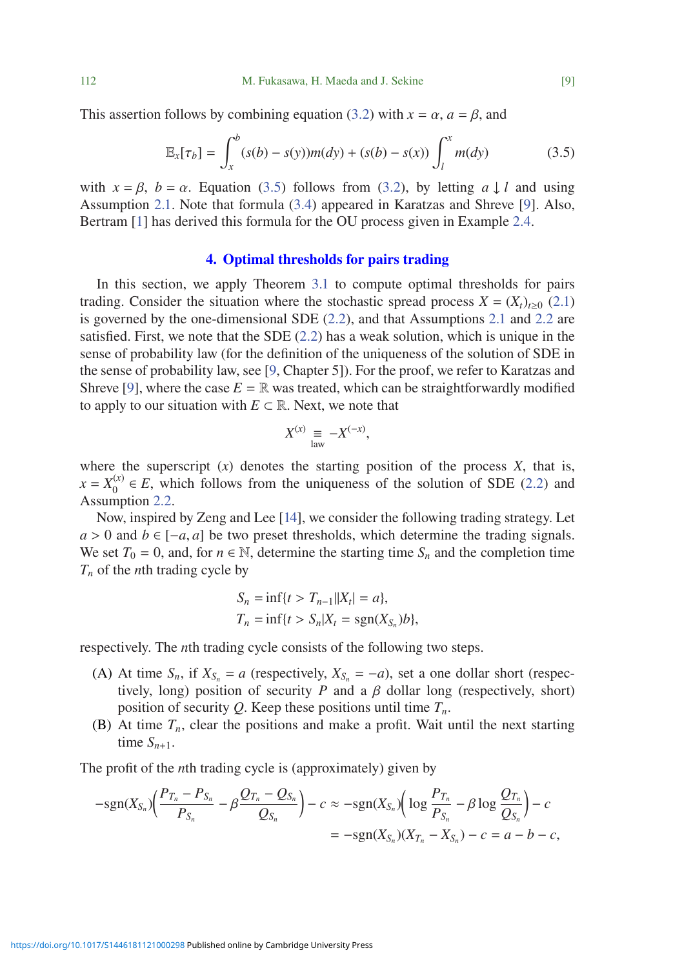This assertion follows by combining equation [\(3.2\)](#page-7-0) with  $x = \alpha$ ,  $a = \beta$ , and

$$
\mathbb{E}_x[\tau_b] = \int_x^b (s(b) - s(y))m(dy) + (s(b) - s(x)) \int_l^x m(dy)
$$
 (3.5)

with  $x = \beta$ ,  $b = \alpha$ . Equation [\(3.5\)](#page-8-0) follows from [\(3.2\)](#page-7-0), by letting  $a \downarrow l$  and using Assumption [2.1.](#page-3-0) Note that formula [\(3.4\)](#page-7-2) appeared in Karatzas and Shreve [\[9\]](#page-18-6). Also, Bertram [\[1\]](#page-17-0) has derived this formula for the OU process given in Example [2.4.](#page-4-1)

#### <span id="page-8-0"></span>4. Optimal thresholds for pairs trading

<span id="page-8-1"></span>In this section, we apply Theorem [3.1](#page-6-1) to compute optimal thresholds for pairs trading. Consider the situation where the stochastic spread process  $X = (X_t)_{t \geq 0}$  [\(2.1\)](#page-1-1) is governed by the one-dimensional SDE [\(2.2\)](#page-2-1), and that Assumptions [2.1](#page-3-0) and [2.2](#page-3-3) are satisfied. First, we note that the SDE  $(2.2)$  has a weak solution, which is unique in the sense of probability law (for the definition of the uniqueness of the solution of SDE in the sense of probability law, see [\[9,](#page-18-6) Chapter 5]). For the proof, we refer to Karatzas and Shreve [\[9\]](#page-18-6), where the case  $E = \mathbb{R}$  was treated, which can be straightforwardly modified to apply to our situation with  $E \subset \mathbb{R}$ . Next, we note that

$$
X^{(x)} \equiv -X^{(-x)},
$$

where the superscript  $(x)$  denotes the starting position of the process  $X$ , that is,  $x = X_0^{(x)} \in E$ , which follows from the uniqueness of the solution of SDE [\(2.2\)](#page-2-1) and Assumption [2.2.](#page-3-3)

Now, inspired by Zeng and Lee [\[14\]](#page-18-1), we consider the following trading strategy. Let  $a > 0$  and  $b \in [-a, a]$  be two preset thresholds, which determine the trading signals. We set  $T_0 = 0$ , and, for  $n \in \mathbb{N}$ , determine the starting time  $S_n$  and the completion time *Tn* of the *n*th trading cycle by

$$
S_n = \inf\{t > T_{n-1} | |X_t| = a\},\,
$$
  
\n
$$
T_n = \inf\{t > S_n | X_t = \text{sgn}(X_{S_n})b\},\,
$$

respectively. The *n*th trading cycle consists of the following two steps.

- (A) At time  $S_n$ , if  $X_{S_n} = a$  (respectively,  $X_{S_n} = -a$ ), set a one dollar short (respectively, long) position of security  $P$  and a  $\beta$  dollar long (respectively, short) position of security  $Q$ . Keep these positions until time  $T_n$ .
- (B) At time  $T_n$ , clear the positions and make a profit. Wait until the next starting time  $S_{n+1}$ .

The profit of the *n*th trading cycle is (approximately) given by

$$
-sgn(X_{S_n})\left(\frac{P_{T_n} - P_{S_n}}{P_{S_n}} - \beta \frac{Q_{T_n} - Q_{S_n}}{Q_{S_n}}\right) - c \approx -sgn(X_{S_n})\left(\log \frac{P_{T_n}}{P_{S_n}} - \beta \log \frac{Q_{T_n}}{Q_{S_n}}\right) - c
$$
  
= 
$$
-sgn(X_{S_n})(X_{T_n} - X_{S_n}) - c = a - b - c,
$$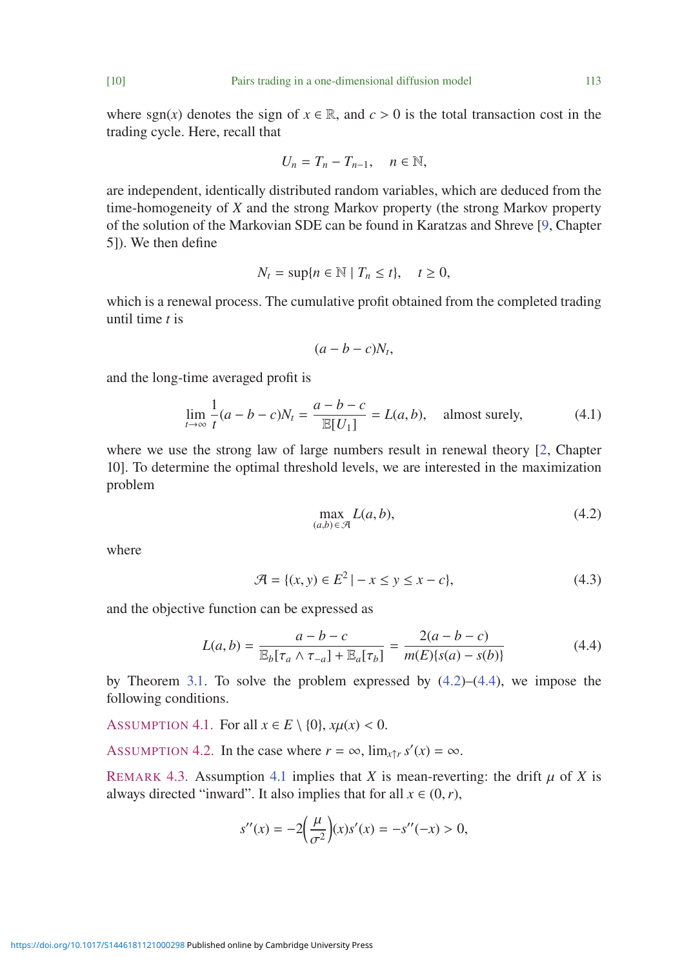where sgn(*x*) denotes the sign of  $x \in \mathbb{R}$ , and  $c > 0$  is the total transaction cost in the trading cycle. Here, recall that

$$
U_n=T_n-T_{n-1},\quad n\in\mathbb{N},
$$

are independent, identically distributed random variables, which are deduced from the time-homogeneity of *X* and the strong Markov property (the strong Markov property of the solution of the Markovian SDE can be found in Karatzas and Shreve [\[9,](#page-18-6) Chapter 5]). We then define

$$
N_t = \sup\{n \in \mathbb{N} \mid T_n \le t\}, \quad t \ge 0,
$$

which is a renewal process. The cumulative profit obtained from the completed trading until time *t* is

<span id="page-9-5"></span>
$$
(a-b-c)N_t,
$$

and the long-time averaged profit is

$$
\lim_{t \to \infty} \frac{1}{t}(a - b - c)N_t = \frac{a - b - c}{\mathbb{E}[U_1]} = L(a, b), \quad \text{almost surely}, \tag{4.1}
$$

<span id="page-9-1"></span>where we use the strong law of large numbers result in renewal theory [\[2,](#page-17-2) Chapter 10]. To determine the optimal threshold levels, we are interested in the maximization problem

<span id="page-9-2"></span>
$$
\max_{(a,b)\in\mathcal{A}} L(a,b),\tag{4.2}
$$

<span id="page-9-4"></span>where

$$
\mathcal{A} = \{(x, y) \in E^2 \mid -x \le y \le x - c\},\tag{4.3}
$$

and the objective function can be expressed as

$$
L(a,b) = \frac{a - b - c}{\mathbb{E}_b[\tau_a \wedge \tau_{-a}] + \mathbb{E}_a[\tau_b]} = \frac{2(a - b - c)}{m(E)\{s(a) - s(b)\}}
$$
(4.4)

by Theorem [3.1.](#page-6-1) To solve the problem expressed by  $(4.2)$ – $(4.4)$ , we impose the following conditions.

<span id="page-9-3"></span>ASSUMPTION 4.1. For all  $x \in E \setminus \{0\}$ ,  $x\mu(x) < 0$ .

<span id="page-9-0"></span>ASSUMPTION 4.2. In the case where  $r = \infty$ ,  $\lim_{x \uparrow r} s'(x) = \infty$ .

REMARK 4.3. Assumption [4.1](#page-9-3) implies that *X* is mean-reverting: the drift  $\mu$  of *X* is always directed "inward". It also implies that for all  $x \in (0, r)$ ,

$$
s''(x) = -2\left(\frac{\mu}{\sigma^2}\right)(x)s'(x) = -s''(-x) > 0,
$$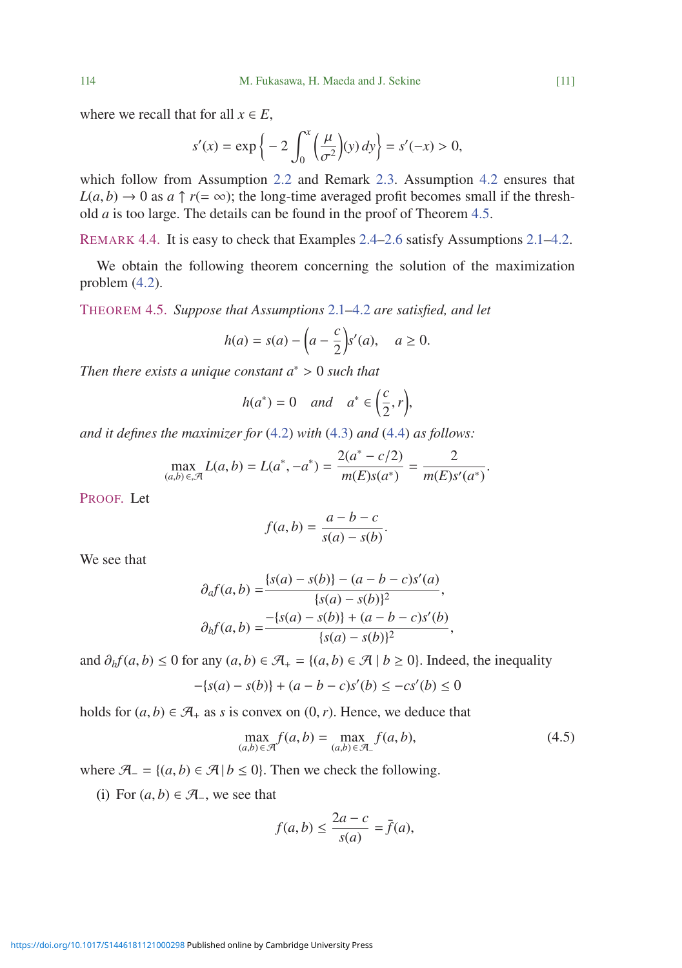where we recall that for all  $x \in E$ ,

$$
s'(x) = \exp\left\{-2\int_0^x \left(\frac{\mu}{\sigma^2}\right)(y) \, dy\right\} = s'(-x) > 0,
$$

which follow from Assumption [2.2](#page-3-3) and Remark [2.3.](#page-3-4) Assumption [4.2](#page-9-0) ensures that  $L(a, b) \rightarrow 0$  as  $a \uparrow r (= \infty)$ ; the long-time averaged profit becomes small if the threshold *a* is too large. The details can be found in the proof of Theorem [4.5.](#page-10-0)

REMARK 4.4. It is easy to check that Examples [2.4](#page-4-1)[–2.6](#page-5-1) satisfy Assumptions [2.1](#page-3-0)[–4.2.](#page-9-0)

We obtain the following theorem concerning the solution of the maximization problem [\(4.2\)](#page-9-1).

<span id="page-10-0"></span>THEOREM 4.5. *Suppose that Assumptions* [2.1](#page-3-0)*–*[4.2](#page-9-0) *are satisfied, and let*

$$
h(a) = s(a) - \left(a - \frac{c}{2}\right)s'(a), \quad a \ge 0.
$$

*Then there exists a unique constant a*<sup>∗</sup> > <sup>0</sup> *such that*

$$
h(a^*) = 0 \quad and \quad a^* \in \left(\frac{c}{2}, r\right),
$$

*and it defines the maximizer for* [\(4.2\)](#page-9-1) *with* [\(4.3\)](#page-9-4) *and* [\(4.4\)](#page-9-2) *as follows:*

$$
\max_{(a,b)\in\mathcal{A}} L(a,b) = L(a^*, -a^*) = \frac{2(a^* - c/2)}{m(E)s(a^*)} = \frac{2}{m(E)s'(a^*)}.
$$

PROOF. Let

$$
f(a,b) = \frac{a-b-c}{s(a)-s(b)}.
$$

We see that

$$
\partial_a f(a,b) = \frac{\{s(a) - s(b)\} - (a - b - c)s'(a)}{\{s(a) - s(b)\}^2},
$$

$$
\partial_b f(a,b) = \frac{-\{s(a) - s(b)\} + (a - b - c)s'(b)}{\{s(a) - s(b)\}^2},
$$

and  $\partial_b f(a, b) \le 0$  for any  $(a, b) \in \mathcal{A}_+$  = { $(a, b) \in \mathcal{A} \mid b \ge 0$ }. Indeed, the inequality

$$
-\{s(a) - s(b)\} + (a - b - c)s'(b) \le -cs'(b) \le 0
$$

holds for  $(a, b) \in \mathcal{A}_+$  as *s* is convex on  $(0, r)$ . Hence, we deduce that

$$
\max_{(a,b)\in\mathcal{A}} f(a,b) = \max_{(a,b)\in\mathcal{A}_-} f(a,b),\tag{4.5}
$$

where  $\mathcal{A}_{-} = \{(a, b) \in \mathcal{A} \mid b \leq 0\}$ . Then we check the following.

(i) For  $(a, b) \in \mathcal{A}$ , we see that

<span id="page-10-1"></span>
$$
f(a,b) \le \frac{2a-c}{s(a)} = \bar{f}(a),
$$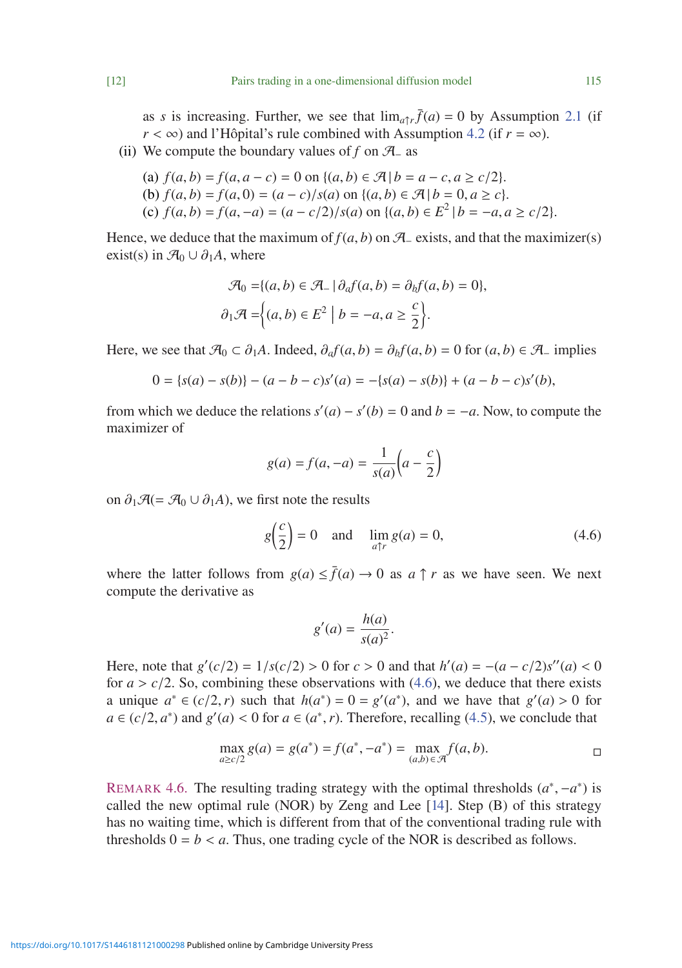as *s* is increasing. Further, we see that  $\lim_{a \uparrow r} \bar{f}(a) = 0$  by Assumption [2.1](#page-3-0) (if  $r < \infty$ ) and l'Hôpital's rule combined with Assumption [4.2](#page-9-0) (if  $r = \infty$ ).

(ii) We compute the boundary values of  $f$  on  $\mathcal{A}$  as

(a) 
$$
f(a, b) = f(a, a - c) = 0
$$
 on  $\{(a, b) \in \mathcal{A} | b = a - c, a \ge c/2\}$ .  
\n(b)  $f(a, b) = f(a, 0) = (a - c)/s(a)$  on  $\{(a, b) \in \mathcal{A} | b = 0, a \ge c\}$ .  
\n(c)  $f(a, b) = f(a, -a) = (a - c/2)/s(a)$  on  $\{(a, b) \in E^2 | b = -a, a \ge c/2\}$ .

Hence, we deduce that the maximum of  $f(a, b)$  on  $\mathcal{A}_-$  exists, and that the maximizer(s) exist(s) in  $\mathcal{A}_0 \cup \partial_1 A$ , where

$$
\mathcal{A}_0 = \{(a, b) \in \mathcal{A}_-\mid \partial_a f(a, b) = \partial_b f(a, b) = 0\},\
$$

$$
\partial_1 \mathcal{A} = \{(a, b) \in E^2 \mid b = -a, a \ge \frac{c}{2}\}.
$$

Here, we see that  $\mathcal{A}_0 \subset \partial_1 A$ . Indeed,  $\partial_a f(a, b) = \partial_b f(a, b) = 0$  for  $(a, b) \in \mathcal{A}$  implies

$$
0 = \{s(a) - s(b)\} - (a - b - c)s'(a) = -\{s(a) - s(b)\} + (a - b - c)s'(b),
$$

from which we deduce the relations  $s'(a) - s'(b) = 0$  and  $b = -a$ . Now, to compute the maximizer of

$$
g(a) = f(a, -a) = \frac{1}{s(a)} \left( a - \frac{c}{2} \right)
$$

on  $\partial_1 \mathcal{A} (= \mathcal{A}_0 \cup \partial_1 A)$ , we first note the results

<span id="page-11-0"></span>
$$
g\left(\frac{c}{2}\right) = 0 \quad \text{and} \quad \lim_{a \uparrow r} g(a) = 0,\tag{4.6}
$$

where the latter follows from  $g(a) \leq \bar{f}(a) \to 0$  as  $a \uparrow r$  as we have seen. We next compute the derivative as

$$
g'(a) = \frac{h(a)}{s(a)^2}.
$$

Here, note that  $g'(c/2) = 1/s(c/2) > 0$  for  $c > 0$  and that  $h'(a) = -(a - c/2)s''(a) < 0$  for  $a > c/2$ . So, combining these observations with  $(4,6)$ , we deduce that there exists for  $a > c/2$ . So, combining these observations with  $(4.6)$ , we deduce that there exists a unique  $a^* \in (c/2, r)$  such that  $h(a^*) = 0 = g'(a^*)$ , and we have that  $g'(a) > 0$  for *a* ∈ (*c*/2, *a*<sup>∗</sup>) and  $g'(a) < 0$  for *a* ∈ ( $a^*$ , *r*). Therefore, recalling (4.5), we conclude that *a* ∈ (*c*/2, *a*<sup>∗</sup>) and *g*<sup>'</sup>(*a*) < 0 for *a* ∈ (*a*<sup>\*</sup>,*r*). Therefore, recalling [\(4.5\)](#page-10-1), we conclude that

$$
\max_{a \ge c/2} g(a) = g(a^*) = f(a^*, -a^*) = \max_{(a,b) \in \mathcal{A}} f(a,b).
$$

REMARK 4.6. The resulting trading strategy with the optimal thresholds  $(a^*, -a^*)$  is called the new optimal rule (NOR) by Zeng and Lee  $[14]$ . Step  $(B)$  of this strategy has no waiting time, which is different from that of the conventional trading rule with thresholds  $0 = b < a$ . Thus, one trading cycle of the NOR is described as follows.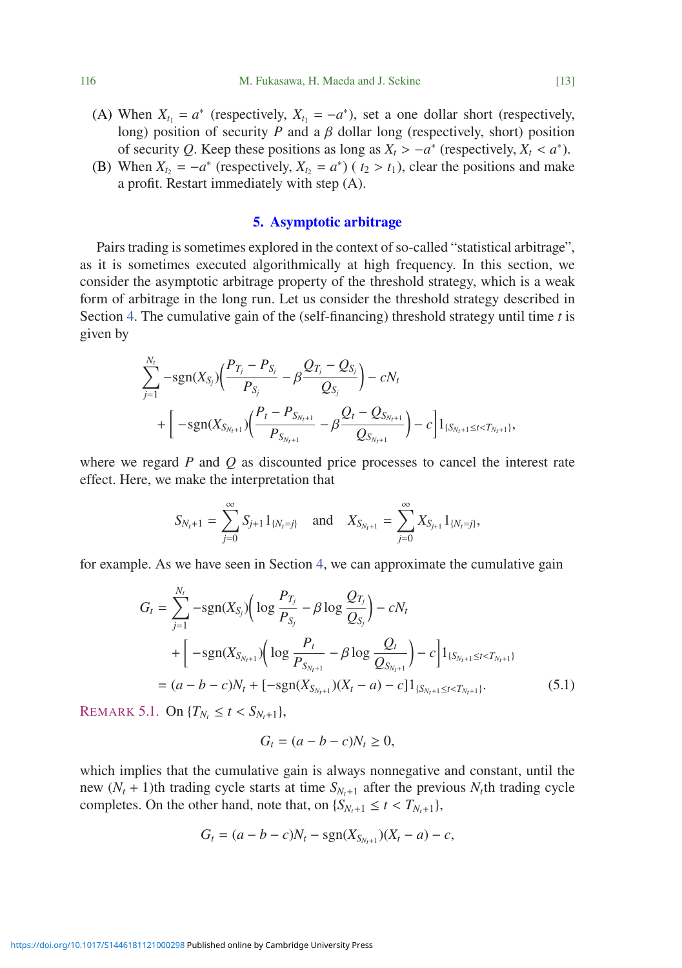- (A) When  $X_{t_1} = a^*$  (respectively,  $X_{t_1} = -a^*$ ), set a one dollar short (respectively, long) position of security  $P$  and a  $\beta$  dollar long (respectively, short) position of security *Q*. Keep these positions as long as  $X_t > -a^*$  (respectively,  $X_t < a^*$ ).
- (B) When  $X_t = -a^*$  (respectively,  $X_t = a^*$ ) ( $t_2 > t_1$ ), clear the positions and make a profit. Restart immediately with step (A).

### 5. Asymptotic arbitrage

Pairs trading is sometimes explored in the context of so-called "statistical arbitrage", as it is sometimes executed algorithmically at high frequency. In this section, we consider the asymptotic arbitrage property of the threshold strategy, which is a weak form of arbitrage in the long run. Let us consider the threshold strategy described in Section [4.](#page-8-1) The cumulative gain of the (self-financing) threshold strategy until time *t* is given by

$$
\sum_{j=1}^{N_t} -sgn(X_{S_j})\left(\frac{P_{T_j} - P_{S_j}}{P_{S_j}} - \beta \frac{Q_{T_j} - Q_{S_j}}{Q_{S_j}}\right) - cN_t + \left[ -sgn(X_{S_{N_t+1}})\left(\frac{P_t - P_{S_{N_t+1}}}{P_{S_{N_t+1}}} - \beta \frac{Q_t - Q_{S_{N_t+1}}}{Q_{S_{N_t+1}}}\right) - c \right]1_{\{S_{N_t+1} \le t < T_{N_t+1}\}},
$$

where we regard *P* and *Q* as discounted price processes to cancel the interest rate effect. Here, we make the interpretation that

$$
S_{N_t+1} = \sum_{j=0}^{\infty} S_{j+1} 1_{\{N_t=j\}} \text{ and } X_{S_{N_t+1}} = \sum_{j=0}^{\infty} X_{S_{j+1}} 1_{\{N_t=j\}},
$$

for example. As we have seen in Section [4,](#page-8-1) we can approximate the cumulative gain

$$
G_{t} = \sum_{j=1}^{N_{t}} -sgn(X_{S_{j}}) \Big( \log \frac{P_{T_{j}}}{P_{S_{j}}} - \beta \log \frac{Q_{T_{j}}}{Q_{S_{j}}} \Big) - cN_{t}
$$
  
+ 
$$
\Big[ -sgn(X_{S_{N_{t}+1}}) \Big( \log \frac{P_{t}}{P_{S_{N_{t}+1}}} - \beta \log \frac{Q_{t}}{Q_{S_{N_{t}+1}}} \Big) - c \Big] 1_{\{S_{N_{t}+1} \leq t < T_{N_{t}+1}\}}
$$
  
= 
$$
(a - b - c)N_{t} + [-sgn(X_{S_{N_{t}+1}})(X_{t} - a) - c] 1_{\{S_{N_{t}+1} \leq t < T_{N_{t}+1}\}}.
$$
(5.1)

REMARK 5.1. On  ${T_{N_t} \le t < S_{N_t+1}}$ ,

*Nt*

<span id="page-12-0"></span>
$$
G_t = (a - b - c)N_t \ge 0,
$$

which implies that the cumulative gain is always nonnegative and constant, until the new  $(N_t + 1)$ th trading cycle starts at time  $S_{N_t+1}$  after the previous  $N_t$ th trading cycle completes. On the other hand, note that, on  $\{S_{N_t+1} \le t < T_{N_t+1}\}$ ,

$$
G_t = (a - b - c)N_t - sgn(X_{S_{N_t+1}})(X_t - a) - c,
$$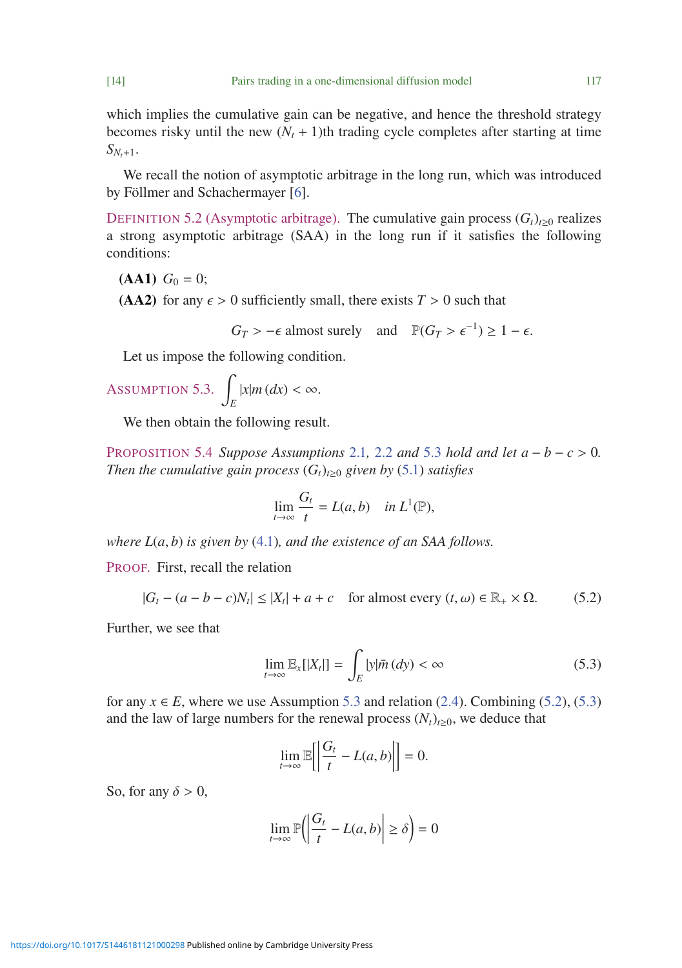which implies the cumulative gain can be negative, and hence the threshold strategy becomes risky until the new  $(N_t + 1)$ th trading cycle completes after starting at time  $S_{N+1}$ .

We recall the notion of asymptotic arbitrage in the long run, which was introduced by Föllmer and Schachermayer [\[6\]](#page-18-8).

DEFINITION 5.2 (Asymptotic arbitrage). The cumulative gain process  $(G_t)_{t\geq0}$  realizes a strong asymptotic arbitrage (SAA) in the long run if it satisfies the following conditions:

 $(AA1)$   $G_0 = 0$ ;

(AA2) for any  $\epsilon > 0$  sufficiently small, there exists  $T > 0$  such that

$$
G_T > -\epsilon \text{ almost surely} \quad \text{and} \quad \mathbb{P}(G_T > \epsilon^{-1}) \ge 1 - \epsilon.
$$

Let us impose the following condition.

<span id="page-13-0"></span>
$$
\text{Assumption 5.3.} \int_{E} |x| m \, (dx) < \infty.
$$

We then obtain the following result.

PROPOSITION 5.4 *Suppose Assumptions* [2.1](#page-3-0), [2.2](#page-3-3) *and* [5.3](#page-13-0) *hold and let*  $a - b - c > 0$ . *Then the cumulative gain process*  $(G_t)_{t>0}$  *given by* [\(5.1\)](#page-12-0) *satisfies* 

$$
\lim_{t\to\infty}\frac{G_t}{t}=L(a,b)\quad\text{in }L^1(\mathbb{P}),
$$

*where L*(*a*, *b*) *is given by* [\(4.1\)](#page-9-5)*, and the existence of an SAA follows.*

PROOF. First, recall the relation

$$
|G_t - (a - b - c)N_t| \le |X_t| + a + c \quad \text{for almost every } (t, \omega) \in \mathbb{R}_+ \times \Omega. \tag{5.2}
$$

Further, we see that

<span id="page-13-2"></span><span id="page-13-1"></span>
$$
\lim_{t \to \infty} \mathbb{E}_x[|X_t|] = \int_E |y| \bar{m}(dy) < \infty \tag{5.3}
$$

for any  $x \in E$ , where we use Assumption [5.3](#page-13-0) and relation [\(2.4\)](#page-3-5). Combining [\(5.2\)](#page-13-1), [\(5.3\)](#page-13-2) and the law of large numbers for the renewal process  $(N_t)_{t\geq0}$ , we deduce that

$$
\lim_{t \to \infty} \mathbb{E}\Biggl[\Bigl|\frac{G_t}{t} - L(a, b)\Bigr|\Bigr] = 0.
$$

So, for any  $\delta > 0$ ,

$$
\lim_{t \to \infty} \mathbb{P}\left(\left|\frac{G_t}{t} - L(a, b)\right| \ge \delta\right) = 0
$$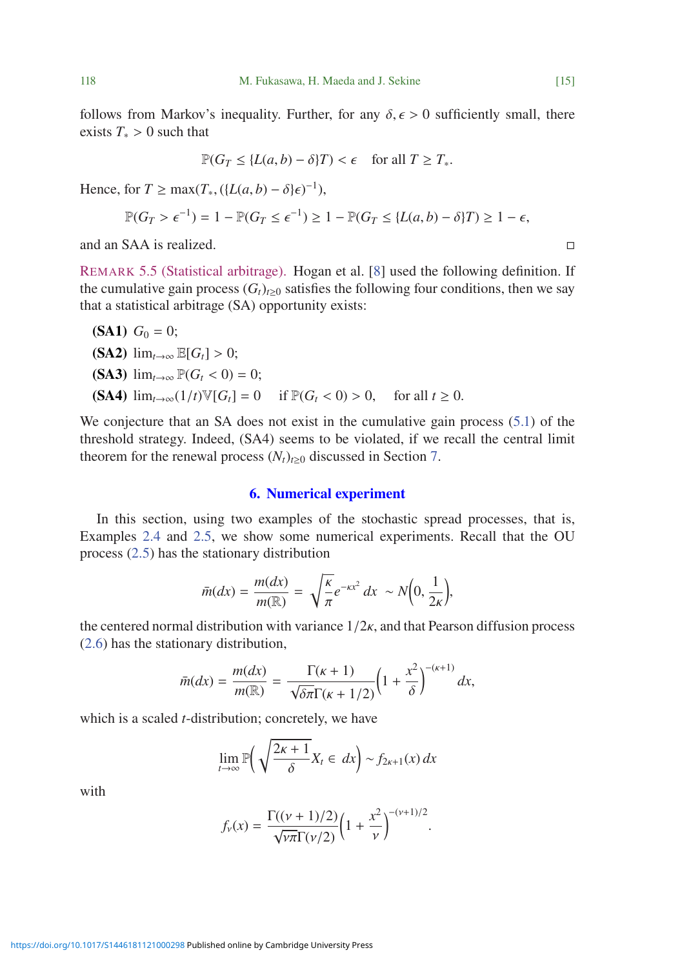follows from Markov's inequality. Further, for any  $\delta, \epsilon > 0$  sufficiently small, there exists  $T_* > 0$  such that

$$
\mathbb{P}(G_T \le \{L(a, b) - \delta\}T) < \epsilon \quad \text{for all } T \ge T_*
$$

Hence, for  $T \ge \max(T_*, (\{L(a, b) - \delta\}\epsilon)^{-1}),$ 

$$
\mathbb{P}(G_T > \epsilon^{-1}) = 1 - \mathbb{P}(G_T \le \epsilon^{-1}) \ge 1 - \mathbb{P}(G_T \le \{L(a, b) - \delta\}T) \ge 1 - \epsilon,
$$

and an SAA is realized.  $\Box$ 

REMARK 5.5 (Statistical arbitrage). Hogan et al. [\[8\]](#page-18-9) used the following definition. If the cumulative gain process  $(G_t)_{t>0}$  satisfies the following four conditions, then we say that a statistical arbitrage (SA) opportunity exists:

\n- **(SA1)** 
$$
G_0 = 0
$$
;
\n- **(SA2)**  $\lim_{t \to \infty} \mathbb{E}[G_t] > 0$ ;
\n- **(SA3)**  $\lim_{t \to \infty} \mathbb{P}(G_t < 0) = 0$ ;
\n- **(SA4)**  $\lim_{t \to \infty} (1/t) \mathbb{V}[G_t] = 0$  if  $\mathbb{P}(G_t < 0) > 0$ , for all  $t \geq 0$ .
\n

We conjecture that an SA does not exist in the cumulative gain process [\(5.1\)](#page-12-0) of the threshold strategy. Indeed, (SA4) seems to be violated, if we recall the central limit theorem for the renewal process  $(N_t)_{t\geq0}$  discussed in Section [7.](#page-16-0)

## 6. Numerical experiment

In this section, using two examples of the stochastic spread processes, that is, Examples [2.4](#page-4-1) and [2.5,](#page-5-2) we show some numerical experiments. Recall that the OU process [\(2.5\)](#page-4-2) has the stationary distribution

$$
\bar{m}(dx) = \frac{m(dx)}{m(\mathbb{R})} = \sqrt{\frac{\kappa}{\pi}} e^{-\kappa x^2} dx \sim N\Big(0, \frac{1}{2\kappa}\Big),
$$

the centered normal distribution with variance  $1/2\kappa$ , and that Pearson diffusion process [\(2.6\)](#page-5-3) has the stationary distribution,

$$
\bar{m}(dx) = \frac{m(dx)}{m(\mathbb{R})} = \frac{\Gamma(\kappa+1)}{\sqrt{\delta \pi} \Gamma(\kappa+1/2)} \Big(1 + \frac{x^2}{\delta}\Big)^{-(\kappa+1)} dx,
$$

which is a scaled *t*-distribution; concretely, we have

$$
\lim_{t \to \infty} \mathbb{P}\left(\sqrt{\frac{2\kappa + 1}{\delta}} X_t \in dx\right) \sim f_{2\kappa + 1}(x) dx
$$

with

$$
f_{\nu}(x) = \frac{\Gamma((\nu + 1)/2)}{\sqrt{\nu \pi} \Gamma(\nu/2)} \left(1 + \frac{x^2}{\nu}\right)^{-(\nu+1)/2}.
$$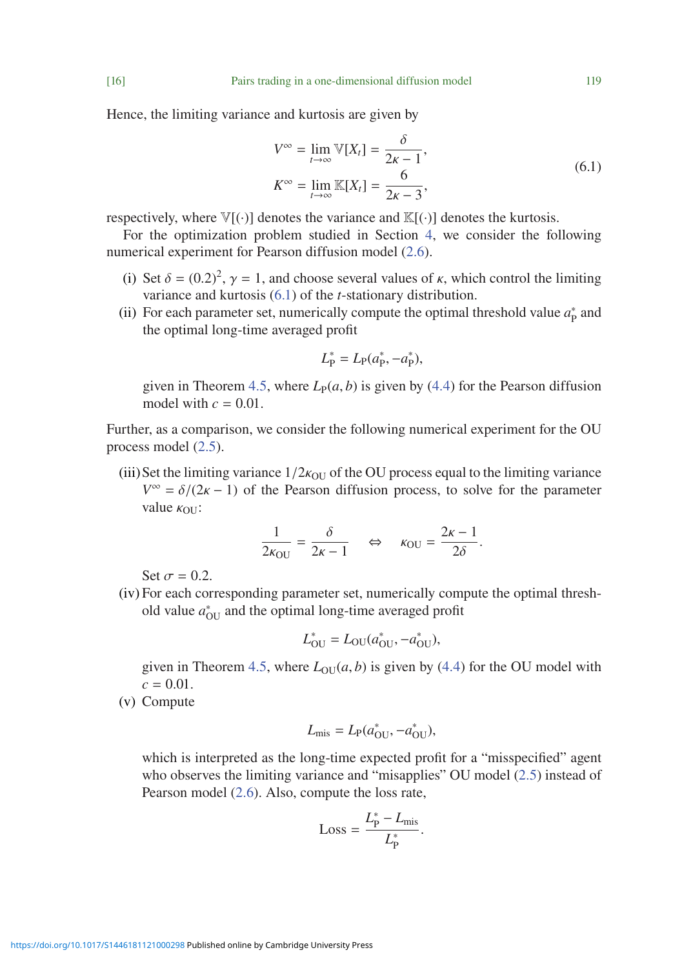Hence, the limiting variance and kurtosis are given by

<span id="page-15-0"></span>
$$
V^{\infty} = \lim_{t \to \infty} \mathbb{V}[X_t] = \frac{\delta}{2\kappa - 1},
$$
  
\n
$$
K^{\infty} = \lim_{t \to \infty} \mathbb{K}[X_t] = \frac{6}{2\kappa - 3},
$$
\n(6.1)

respectively, where  $\mathbb{V}[(\cdot)]$  denotes the variance and  $\mathbb{K}[(\cdot)]$  denotes the kurtosis.

For the optimization problem studied in Section [4,](#page-8-1) we consider the following numerical experiment for Pearson diffusion model [\(2.6\)](#page-5-3).

- (i) Set  $\delta = (0.2)^2$ ,  $\gamma = 1$ , and choose several values of  $\kappa$ , which control the limiting variance and kurtosis (6.1) of the *t*-stationary distribution variance and kurtosis [\(6.1\)](#page-15-0) of the *t*-stationary distribution.
- (ii) For each parameter set, numerically compute the optimal threshold value  $a_P^*$  and the optimal long-time averaged profit

$$
L_{\rm P}^* = L_{\rm P}(a_{\rm P}^*, -a_{\rm P}^*),
$$

given in Theorem [4.5,](#page-10-0) where  $L_P(a, b)$  is given by [\(4.4\)](#page-9-2) for the Pearson diffusion model with  $c = 0.01$ .

Further, as a comparison, we consider the following numerical experiment for the OU process model [\(2.5\)](#page-4-2).

(iii) Set the limiting variance  $1/2k_{\text{OU}}$  of the OU process equal to the limiting variance  $V^{\infty} = \delta/(2\kappa - 1)$  of the Pearson diffusion process, to solve for the parameter value  $\kappa_{\text{OU}}$ :

$$
\frac{1}{2\kappa_{\text{OU}}} = \frac{\delta}{2\kappa - 1} \quad \Leftrightarrow \quad \kappa_{\text{OU}} = \frac{2\kappa - 1}{2\delta}.
$$

Set  $\sigma = 0.2$ .

(iv) For each corresponding parameter set, numerically compute the optimal threshold value  $a_{\text{OU}}^*$  and the optimal long-time averaged profit

$$
L_{\text{OU}}^* = L_{\text{OU}}(a_{\text{OU}}^*, -a_{\text{OU}}^*),
$$

given in Theorem [4.5,](#page-10-0) where  $L_{O<sub>U</sub>}(a, b)$  is given by [\(4.4\)](#page-9-2) for the OU model with  $c = 0.01$ .

(v) Compute

$$
L_{\text{mis}} = L_{\text{P}}(a_{\text{OU}}^*, -a_{\text{OU}}^*),
$$

which is interpreted as the long-time expected profit for a "misspecified" agent who observes the limiting variance and "misapplies" OU model [\(2.5\)](#page-4-2) instead of Pearson model [\(2.6\)](#page-5-3). Also, compute the loss rate,

$$
Loss = \frac{L_P^* - L_{\text{mis}}}{L_P^*}.
$$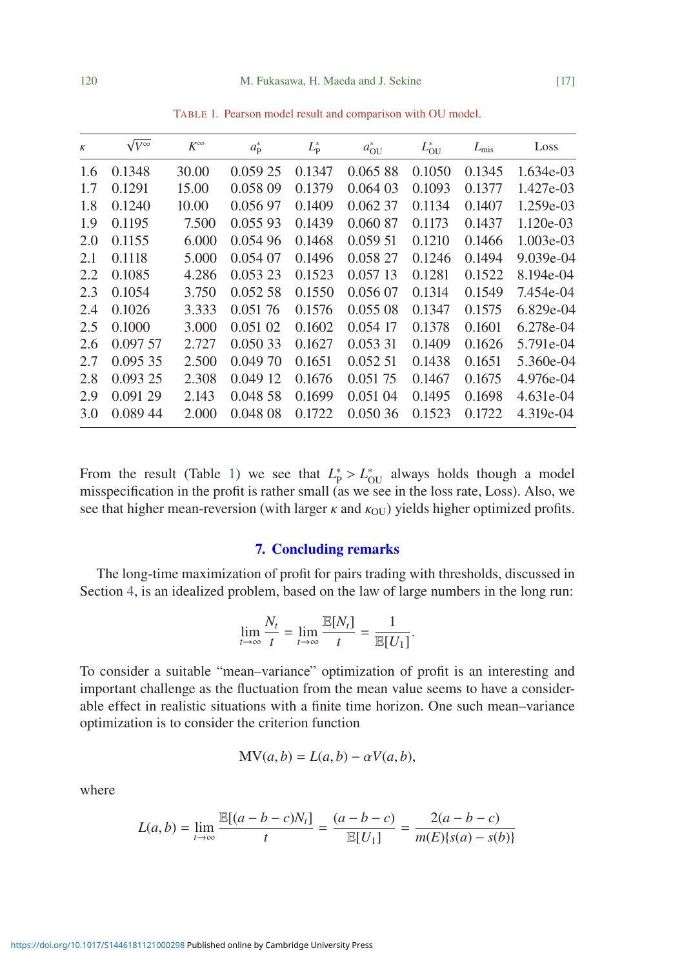<span id="page-16-1"></span>

| $\kappa$ | $\sqrt{V}^{\infty}$ | $K^{\infty}$ | $a_{\rm P}^*$ | $L_P^*$ | $a_{\text{OU}}^*$ | $L_{\rm OU}^*$ | $L_{\rm mis}$ | Loss        |
|----------|---------------------|--------------|---------------|---------|-------------------|----------------|---------------|-------------|
| 1.6      | 0.1348              | 30.00        | 0.059 25      | 0.1347  | 0.06588           | 0.1050         | 0.1345        | $1.634e-03$ |
| 1.7      | 0.1291              | 15.00        | 0.058 09      | 0.1379  | 0.06403           | 0.1093         | 0.1377        | 1.427e-03   |
| 1.8      | 0.1240              | 10.00        | 0.056 97      | 0.1409  | 0.062 37          | 0.1134         | 0.1407        | 1.259e-03   |
| 1.9      | 0.1195              | 7.500        | 0.055 93      | 0.1439  | 0.060 87          | 0.1173         | 0.1437        | $1.120e-03$ |
| 2.0      | 0.1155              | 6.000        | 0.054 96      | 0.1468  | 0.05951           | 0.1210         | 0.1466        | $1.003e-03$ |
| 2.1      | 0.1118              | 5.000        | 0.054 07      | 0.1496  | 0.058 27          | 0.1246         | 0.1494        | $9.039e-04$ |
| 2.2      | 0.1085              | 4.286        | 0.053 23      | 0.1523  | 0.05713           | 0.1281         | 0.1522        | 8.194e-04   |
| 2.3      | 0.1054              | 3.750        | 0.052 58      | 0.1550  | 0.056 07          | 0.1314         | 0.1549        | 7.454e-04   |
| 2.4      | 0.1026              | 3.333        | 0.05176       | 0.1576  | 0.05508           | 0.1347         | 0.1575        | $6.829e-04$ |
| 2.5      | 0.1000              | 3.000        | 0.051 02      | 0.1602  | 0.054 17          | 0.1378         | 0.1601        | 6.278e-04   |
| 2.6      | 0.097 57            | 2.727        | 0.050 33      | 0.1627  | 0.053 31          | 0.1409         | 0.1626        | 5.791e-04   |
| 2.7      | 0.09535             | 2.500        | 0.049 70      | 0.1651  | 0.052 51          | 0.1438         | 0.1651        | 5.360e-04   |
| 2.8      | 0.09325             | 2.308        | 0.04912       | 0.1676  | 0.051 75          | 0.1467         | 0.1675        | 4.976e-04   |
| 2.9      | 0.091 29            | 2.143        | 0.048 58      | 0.1699  | 0.051 04          | 0.1495         | 0.1698        | 4.631e-04   |
| 3.0      | 0.089 44            | 2.000        | 0.04808       | 0.1722  | 0.05036           | 0.1523         | 0.1722        | 4.319e-04   |
|          |                     |              |               |         |                   |                |               |             |

TABLE 1. Pearson model result and comparison with OU model.

From the result (Table [1\)](#page-16-1) we see that  $L_P^* > L_{\text{OU}}^*$  always holds though a model misspecification in the profit is rather small (as we see in the loss rate I oss). Also we misspecification in the profit is rather small (as we see in the loss rate, Loss). Also, we see that higher mean-reversion (with larger  $\kappa$  and  $\kappa$ <sub>OU</sub>) yields higher optimized profits.

## 7. Concluding remarks

<span id="page-16-0"></span>The long-time maximization of profit for pairs trading with thresholds, discussed in Section [4,](#page-8-1) is an idealized problem, based on the law of large numbers in the long run:

$$
\lim_{t \to \infty} \frac{N_t}{t} = \lim_{t \to \infty} \frac{\mathbb{E}[N_t]}{t} = \frac{1}{\mathbb{E}[U_1]}.
$$

To consider a suitable "mean–variance" optimization of profit is an interesting and important challenge as the fluctuation from the mean value seems to have a considerable effect in realistic situations with a finite time horizon. One such mean–variance optimization is to consider the criterion function

$$
MV(a, b) = L(a, b) - \alpha V(a, b),
$$

where

$$
L(a,b) = \lim_{t \to \infty} \frac{\mathbb{E}[(a-b-c)N_t]}{t} = \frac{(a-b-c)}{\mathbb{E}[U_1]} = \frac{2(a-b-c)}{m(E)\{s(a) - s(b)\}}
$$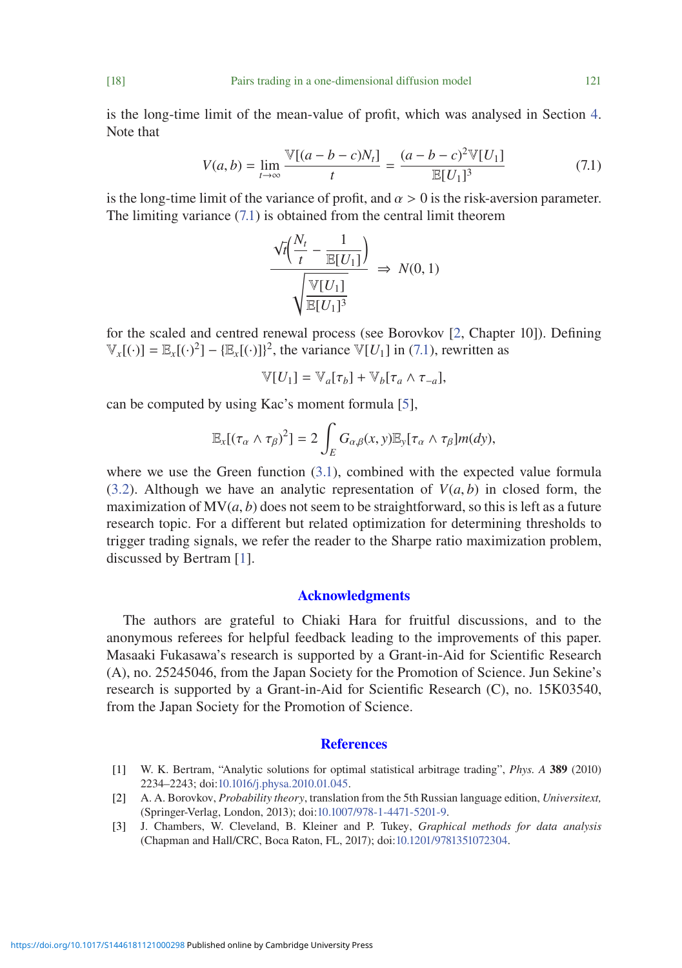is the long-time limit of the mean-value of profit, which was analysed in Section [4.](#page-8-1) Note that

<span id="page-17-3"></span>
$$
V(a,b) = \lim_{t \to \infty} \frac{\mathbb{V}[(a-b-c)N_t]}{t} = \frac{(a-b-c)^2 \mathbb{V}[U_1]}{\mathbb{E}[U_1]^3}
$$
(7.1)

is the long-time limit of the variance of profit, and  $\alpha > 0$  is the risk-aversion parameter. The limiting variance [\(7.1\)](#page-17-3) is obtained from the central limit theorem

$$
\frac{\sqrt{t}\left(\frac{N_t}{t}-\frac{1}{\mathbb{E}[U_1]}\right)}{\sqrt{\frac{\mathbb{V}[U_1]}{\mathbb{E}[U_1]^3}}}\Rightarrow N(0,1)
$$

for the scaled and centred renewal process (see Borovkov [\[2,](#page-17-2) Chapter 10]). Defining  $\mathbb{V}_x[(\cdot)] = \mathbb{E}_x[(\cdot)^2] - \{\mathbb{E}_x[(\cdot)]\}^2$ , the variance  $\mathbb{V}[U_1]$  in [\(7.1\)](#page-17-3), rewritten as

$$
\mathbb{V}[U_1] = \mathbb{V}_a[\tau_b] + \mathbb{V}_b[\tau_a \wedge \tau_{-a}],
$$

can be computed by using Kac's moment formula [\[5\]](#page-18-10),

$$
\mathbb{E}_x[(\tau_\alpha \wedge \tau_\beta)^2] = 2 \int_E G_{\alpha,\beta}(x,y) \mathbb{E}_y[\tau_\alpha \wedge \tau_\beta] m(dy),
$$

where we use the Green function [\(3.1\)](#page-7-3), combined with the expected value formula [\(3.2\)](#page-7-0). Although we have an analytic representation of  $V(a, b)$  in closed form, the maximization of  $MV(a, b)$  does not seem to be straightforward, so this is left as a future research topic. For a different but related optimization for determining thresholds to trigger trading signals, we refer the reader to the Sharpe ratio maximization problem, discussed by Bertram [\[1\]](#page-17-0).

## Acknowledgments

The authors are grateful to Chiaki Hara for fruitful discussions, and to the anonymous referees for helpful feedback leading to the improvements of this paper. Masaaki Fukasawa's research is supported by a Grant-in-Aid for Scientific Research (A), no. 25245046, from the Japan Society for the Promotion of Science. Jun Sekine's research is supported by a Grant-in-Aid for Scientific Research (C), no. 15K03540, from the Japan Society for the Promotion of Science.

#### **References**

- <span id="page-17-0"></span>[1] W. K. Bertram, "Analytic solutions for optimal statistical arbitrage trading", *Phys. A* 389 (2010) 2234–2243; doi[:10.1016/j.physa.2010.01.045.](http://dx.doi.org/10.1016/j.physa.2010.01.045)
- <span id="page-17-2"></span>[2] A. A. Borovkov, *Probability theory*, translation from the 5th Russian language edition, *Universitext,* (Springer-Verlag, London, 2013); doi[:10.1007/978-1-4471-5201-9.](http://dx.doi.org/10.1007/978-1-4471-5201-9)
- <span id="page-17-1"></span>[3] J. Chambers, W. Cleveland, B. Kleiner and P. Tukey, *Graphical methods for data analysis* (Chapman and Hall/CRC, Boca Raton, FL, 2017); doi[:10.1201/9781351072304.](http://dx.doi.org/10.1201/9781351072304)